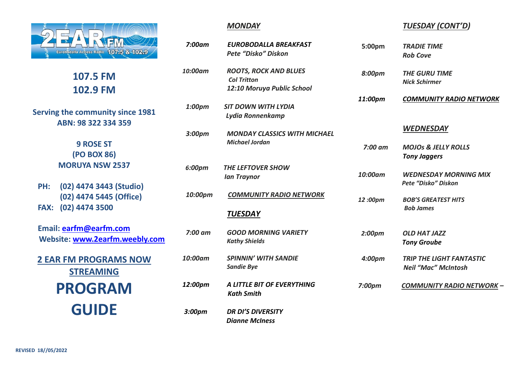

**107.5 FM 102.9 FM**

**Serving the community since 1981 ABN: 98 322 334 359**

> **9 ROSE ST (PO BOX 86) MORUYA NSW 2537**

**PH: (02) 4474 3443 (Studio) (02) 4474 5445 (Office) FAX: (02) 4474 3500**

**Email: [earfm@earfm.com](mailto:earfm@earfm.com) Website: [www.2earfm.weebly.com](http://www.earfm.com/)**

**2 EAR FM PROGRAMS NOW STREAMING PROGRAM GUIDE**

## *MONDAY*

| 7:00am    | EUROBODALLA BREAKFAST               |
|-----------|-------------------------------------|
|           | Pete "Disko" Diskon                 |
| 10:00am   | <b>ROOTS, ROCK AND BLUES</b>        |
|           | <b>Col Tritton</b>                  |
|           | 12:10 Moruya Public School          |
| 1:00pm    | <b>SIT DOWN WITH LYDIA</b>          |
|           | Lydia Ronnenkamp                    |
| 3:00pm    | <b>MONDAY CLASSICS WITH MICHAEL</b> |
|           | <b>Michael Jordan</b>               |
|           |                                     |
| 6:00pm    | <b>THE LEFTOVER SHOW</b>            |
|           | <b>Ian Traynor</b>                  |
| 10:00pm   | <b>COMMUNITY RADIO NETWORK</b>      |
|           | <b>TUESDAY</b>                      |
| $7:00$ am | <b>GOOD MORNING VARIETY</b>         |
|           | <b>Kathy Shields</b>                |
| 10:00am   | <b>SPINNIN' WITH SANDIE</b>         |
|           | <b>Sandie Bye</b>                   |
| 12:00pm   | A LITTLE BIT OF EVERYTHING          |
|           | <b>Kath Smith</b>                   |
| 3:00pm    | <b>DR DI'S DIVERSITY</b>            |

## *TUESDAY (CONT'D)*

| η  | <b>EUROBODALLA BREAKFAST</b><br>Pete "Disko" Diskon                              | 5:00pm             | <b>TRADIE TIME</b><br><b>Rob Cove</b>                         |
|----|----------------------------------------------------------------------------------|--------------------|---------------------------------------------------------------|
| η  | <b>ROOTS, ROCK AND BLUES</b><br><b>Col Tritton</b><br>12:10 Moruya Public School | 8:00pm             | <b>THE GURU TIME</b><br><b>Nick Schirmer</b>                  |
| η  | <b>SIT DOWN WITH LYDIA</b><br>Lydia Ronnenkamp                                   | 11:00pm            | <b>COMMUNITY RADIO NETWORK</b>                                |
| η  | <b>MONDAY CLASSICS WITH MICHAEL</b>                                              |                    | <b>WEDNESDAY</b>                                              |
|    | <b>Michael Jordan</b>                                                            | $7:00$ am          | <b>MOJOs &amp; JELLY ROLLS</b><br><b>Tony Jaggers</b>         |
| n  | <b>THE LEFTOVER SHOW</b><br><b>Ian Traynor</b>                                   | 10:00am            | <b>WEDNESDAY MORNING MIX</b><br>Pete "Disko" Diskon           |
| วm | <b>COMMUNITY RADIO NETWORK</b>                                                   | 12:00pm            | <b>BOB'S GREATEST HITS</b><br><b>Bob James</b>                |
|    | <b>TUESDAY</b>                                                                   |                    |                                                               |
| m  | <b>GOOD MORNING VARIETY</b><br><b>Kathy Shields</b>                              | 2:00pm             | <b>OLD HAT JAZZ</b><br><b>Tony Groube</b>                     |
| m  | <b>SPINNIN' WITH SANDIE</b><br><b>Sandie Bye</b>                                 | 4:00pm             | <b>TRIP THE LIGHT FANTASTIC</b><br><b>Neil "Mac" McIntosh</b> |
| m  | A LITTLE BIT OF EVERYTHING<br><b>Kath Smith</b>                                  | 7:00 <sub>pm</sub> | <b>COMMUNITY RADIO NETWORK -</b>                              |
| 7  | <b>DR DI'S DIVERSITY</b><br><b>Dianne McIness</b>                                |                    |                                                               |